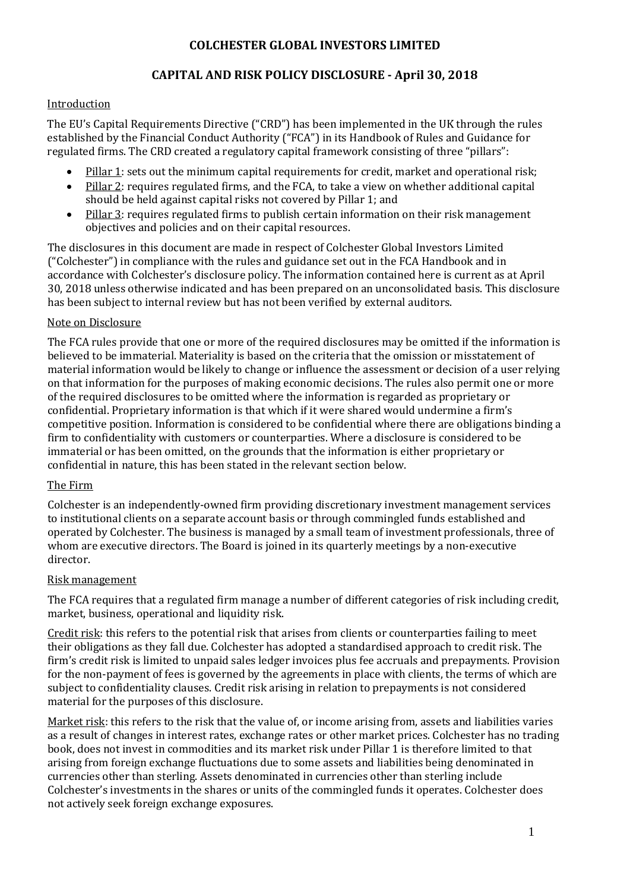# **CAPITAL AND RISK POLICY DISCLOSURE - April 30, 2018**

### **Introduction**

The EU's Capital Requirements Directive ("CRD") has been implemented in the UK through the rules established by the Financial Conduct Authority ("FCA") in its Handbook of Rules and Guidance for regulated firms. The CRD created a regulatory capital framework consisting of three "pillars":

- Pillar 1: sets out the minimum capital requirements for credit, market and operational risk;
- Pillar 2: requires regulated firms, and the FCA, to take a view on whether additional capital should be held against capital risks not covered by Pillar 1; and
- Pillar 3: requires regulated firms to publish certain information on their risk management objectives and policies and on their capital resources.

The disclosures in this document are made in respect of Colchester Global Investors Limited ("Colchester") in compliance with the rules and guidance set out in the FCA Handbook and in accordance with Colchester's disclosure policy. The information contained here is current as at April 30, 2018 unless otherwise indicated and has been prepared on an unconsolidated basis. This disclosure has been subject to internal review but has not been verified by external auditors.

### Note on Disclosure

The FCA rules provide that one or more of the required disclosures may be omitted if the information is believed to be immaterial. Materiality is based on the criteria that the omission or misstatement of material information would be likely to change or influence the assessment or decision of a user relying on that information for the purposes of making economic decisions. The rules also permit one or more of the required disclosures to be omitted where the information is regarded as proprietary or confidential. Proprietary information is that which if it were shared would undermine a firm's competitive position. Information is considered to be confidential where there are obligations binding a firm to confidentiality with customers or counterparties. Where a disclosure is considered to be immaterial or has been omitted, on the grounds that the information is either proprietary or confidential in nature, this has been stated in the relevant section below.

### The Firm

Colchester is an independently-owned firm providing discretionary investment management services to institutional clients on a separate account basis or through commingled funds established and operated by Colchester. The business is managed by a small team of investment professionals, three of whom are executive directors. The Board is joined in its quarterly meetings by a non-executive director.

#### Risk management

The FCA requires that a regulated firm manage a number of different categories of risk including credit, market, business, operational and liquidity risk.

Credit risk: this refers to the potential risk that arises from clients or counterparties failing to meet their obligations as they fall due. Colchester has adopted a standardised approach to credit risk. The firm's credit risk is limited to unpaid sales ledger invoices plus fee accruals and prepayments. Provision for the non-payment of fees is governed by the agreements in place with clients, the terms of which are subject to confidentiality clauses. Credit risk arising in relation to prepayments is not considered material for the purposes of this disclosure.

Market risk: this refers to the risk that the value of, or income arising from, assets and liabilities varies as a result of changes in interest rates, exchange rates or other market prices. Colchester has no trading book, does not invest in commodities and its market risk under Pillar 1 is therefore limited to that arising from foreign exchange fluctuations due to some assets and liabilities being denominated in currencies other than sterling. Assets denominated in currencies other than sterling include Colchester's investments in the shares or units of the commingled funds it operates. Colchester does not actively seek foreign exchange exposures.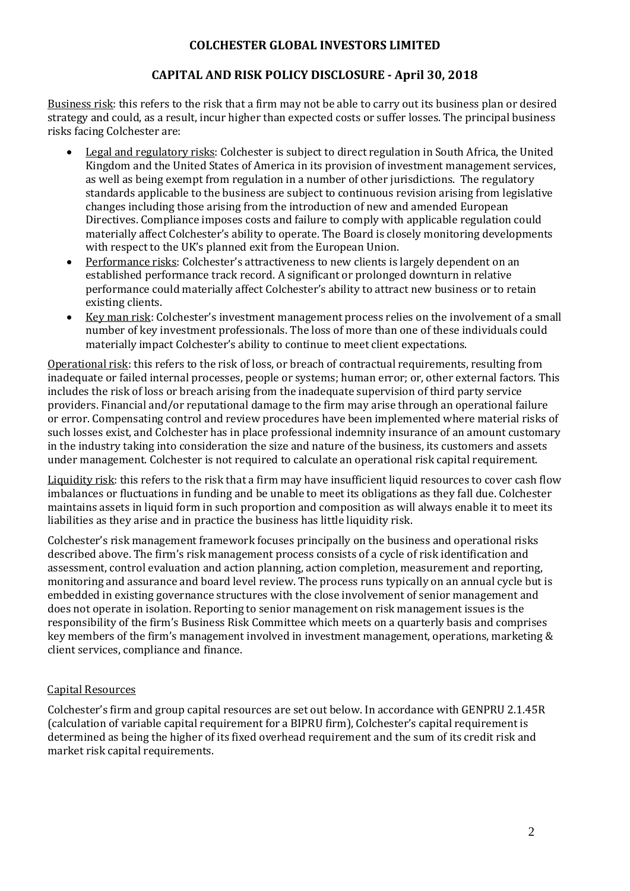# **CAPITAL AND RISK POLICY DISCLOSURE - April 30, 2018**

Business risk: this refers to the risk that a firm may not be able to carry out its business plan or desired strategy and could, as a result, incur higher than expected costs or suffer losses. The principal business risks facing Colchester are:

- Legal and regulatory risks: Colchester is subject to direct regulation in South Africa, the United Kingdom and the United States of America in its provision of investment management services, as well as being exempt from regulation in a number of other jurisdictions. The regulatory standards applicable to the business are subject to continuous revision arising from legislative changes including those arising from the introduction of new and amended European Directives. Compliance imposes costs and failure to comply with applicable regulation could materially affect Colchester's ability to operate. The Board is closely monitoring developments with respect to the UK's planned exit from the European Union.
- Performance risks: Colchester's attractiveness to new clients is largely dependent on an established performance track record. A significant or prolonged downturn in relative performance could materially affect Colchester's ability to attract new business or to retain existing clients.
- Key man risk: Colchester's investment management process relies on the involvement of a small number of key investment professionals. The loss of more than one of these individuals could materially impact Colchester's ability to continue to meet client expectations.

Operational risk: this refers to the risk of loss, or breach of contractual requirements, resulting from inadequate or failed internal processes, people or systems; human error; or, other external factors. This includes the risk of loss or breach arising from the inadequate supervision of third party service providers. Financial and/or reputational damage to the firm may arise through an operational failure or error. Compensating control and review procedures have been implemented where material risks of such losses exist, and Colchester has in place professional indemnity insurance of an amount customary in the industry taking into consideration the size and nature of the business, its customers and assets under management. Colchester is not required to calculate an operational risk capital requirement.

Liquidity risk: this refers to the risk that a firm may have insufficient liquid resources to cover cash flow imbalances or fluctuations in funding and be unable to meet its obligations as they fall due. Colchester maintains assets in liquid form in such proportion and composition as will always enable it to meet its liabilities as they arise and in practice the business has little liquidity risk.

Colchester's risk management framework focuses principally on the business and operational risks described above. The firm's risk management process consists of a cycle of risk identification and assessment, control evaluation and action planning, action completion, measurement and reporting, monitoring and assurance and board level review. The process runs typically on an annual cycle but is embedded in existing governance structures with the close involvement of senior management and does not operate in isolation. Reporting to senior management on risk management issues is the responsibility of the firm's Business Risk Committee which meets on a quarterly basis and comprises key members of the firm's management involved in investment management, operations, marketing & client services, compliance and finance.

# Capital Resources

Colchester's firm and group capital resources are set out below. In accordance with GENPRU 2.1.45R (calculation of variable capital requirement for a BIPRU firm), Colchester's capital requirement is determined as being the higher of its fixed overhead requirement and the sum of its credit risk and market risk capital requirements.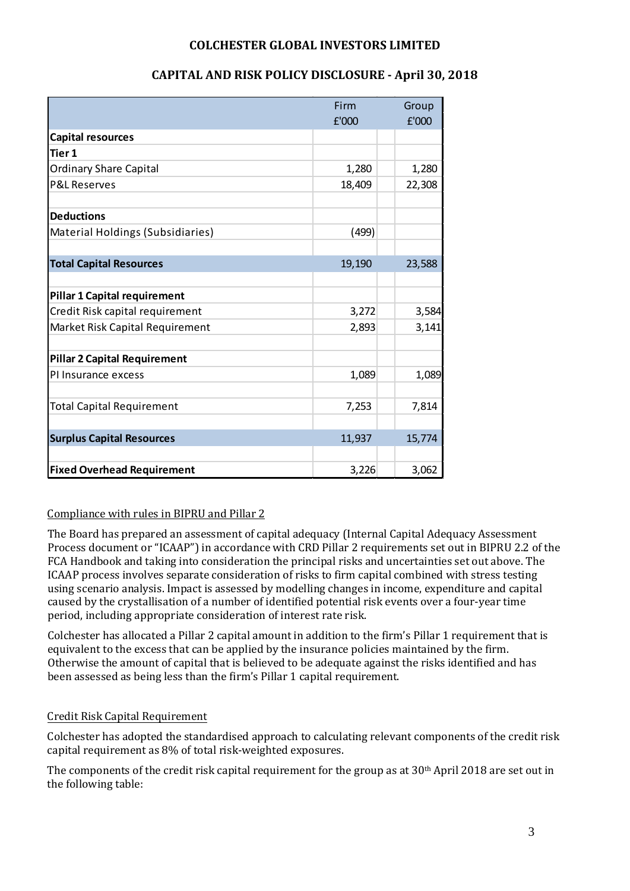|                                     | Firm   | Group  |
|-------------------------------------|--------|--------|
|                                     | £'000  | £'000  |
| <b>Capital resources</b>            |        |        |
| Tier 1                              |        |        |
| <b>Ordinary Share Capital</b>       | 1,280  | 1,280  |
| <b>P&amp;L Reserves</b>             | 18,409 | 22,308 |
|                                     |        |        |
| <b>Deductions</b>                   |        |        |
| Material Holdings (Subsidiaries)    | (499)  |        |
|                                     |        |        |
| <b>Total Capital Resources</b>      | 19,190 | 23,588 |
|                                     |        |        |
| <b>Pillar 1 Capital requirement</b> |        |        |
| Credit Risk capital requirement     | 3,272  | 3,584  |
| Market Risk Capital Requirement     | 2,893  | 3,141  |
| <b>Pillar 2 Capital Requirement</b> |        |        |
| PI Insurance excess                 | 1,089  | 1,089  |
|                                     |        |        |
| <b>Total Capital Requirement</b>    | 7,253  | 7,814  |
|                                     |        |        |
| <b>Surplus Capital Resources</b>    | 11,937 | 15,774 |
|                                     |        |        |
| <b>Fixed Overhead Requirement</b>   | 3,226  | 3,062  |

# **CAPITAL AND RISK POLICY DISCLOSURE - April 30, 2018**

# Compliance with rules in BIPRU and Pillar 2

The Board has prepared an assessment of capital adequacy (Internal Capital Adequacy Assessment Process document or "ICAAP") in accordance with CRD Pillar 2 requirements set out in BIPRU 2.2 of the FCA Handbook and taking into consideration the principal risks and uncertainties set out above. The ICAAP process involves separate consideration of risks to firm capital combined with stress testing using scenario analysis. Impact is assessed by modelling changes in income, expenditure and capital caused by the crystallisation of a number of identified potential risk events over a four-year time period, including appropriate consideration of interest rate risk.

Colchester has allocated a Pillar 2 capital amount in addition to the firm's Pillar 1 requirement that is equivalent to the excess that can be applied by the insurance policies maintained by the firm. Otherwise the amount of capital that is believed to be adequate against the risks identified and has been assessed as being less than the firm's Pillar 1 capital requirement.

# Credit Risk Capital Requirement

Colchester has adopted the standardised approach to calculating relevant components of the credit risk capital requirement as 8% of total risk-weighted exposures.

The components of the credit risk capital requirement for the group as at 30<sup>th</sup> April 2018 are set out in the following table: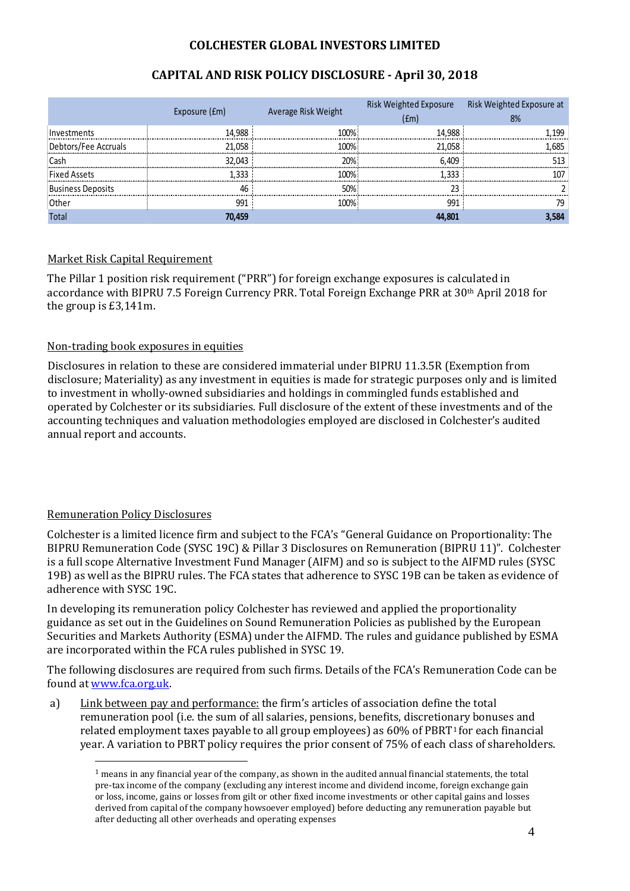|                      | Exposure (£m) | Average Risk Weight | Risk Weighted Exposure<br>(fm) | Risk Weighted Exposure at<br>8% |
|----------------------|---------------|---------------------|--------------------------------|---------------------------------|
| Investments          | 14.988        | 100%                | 14.988                         | 1.199                           |
| Debtors/Fee Accruals | 21.058        | 100%                | 21.058                         | 1.685                           |
| Cash                 | 32.043        | 20%                 | 6.409                          | 513                             |
| <b>Fixed Assets</b>  | 1.333         | 100%                | 1.333                          | 107                             |
| Business Deposits    | 46            | 50%                 | 23                             |                                 |
| Other                | 991           | 100%                | 991                            | 79                              |
| <b>Total</b>         | 70,459        |                     | 44,801                         | 3.584                           |

# **CAPITAL AND RISK POLICY DISCLOSURE - April 30, 2018**

# Market Risk Capital Requirement

The Pillar 1 position risk requirement ("PRR") for foreign exchange exposures is calculated in accordance with BIPRU 7.5 Foreign Currency PRR. Total Foreign Exchange PRR at 30th April 2018 for the group is £3,141m.

## Non-trading book exposures in equities

Disclosures in relation to these are considered immaterial under BIPRU 11.3.5R (Exemption from disclosure; Materiality) as any investment in equities is made for strategic purposes only and is limited to investment in wholly-owned subsidiaries and holdings in commingled funds established and operated by Colchester or its subsidiaries. Full disclosure of the extent of these investments and of the accounting techniques and valuation methodologies employed are disclosed in Colchester's audited annual report and accounts.

## Remuneration Policy Disclosures

-

Colchester is a limited licence firm and subject to the FCA's "General Guidance on Proportionality: The BIPRU Remuneration Code (SYSC 19C) & Pillar 3 Disclosures on Remuneration (BIPRU 11)". Colchester is a full scope Alternative Investment Fund Manager (AIFM) and so is subject to the AIFMD rules (SYSC 19B) as well as the BIPRU rules. The FCA states that adherence to SYSC 19B can be taken as evidence of adherence with SYSC 19C.

In developing its remuneration policy Colchester has reviewed and applied the proportionality guidance as set out in the Guidelines on Sound Remuneration Policies as published by the European Securities and Markets Authority (ESMA) under the AIFMD. The rules and guidance published by ESMA are incorporated within the FCA rules published in SYSC 19.

The following disclosures are required from such firms. Details of the FCA's Remuneration Code can be found at www.fca.org.uk.

<span id="page-3-0"></span>a) Link between pay and performance: the firm's articles of association define the total remuneration pool (i.e. the sum of all salaries, pensions, benefits, discretionary bonuses and related employment taxes payable to all group employees) as  $60\%$  of PBRT<sup>[1](#page-3-0)</sup> for each financial year. A variation to PBRT policy requires the prior consent of 75% of each class of shareholders.

 $1$  means in any financial year of the company, as shown in the audited annual financial statements, the total pre-tax income of the company (excluding any interest income and dividend income, foreign exchange gain or loss, income, gains or losses from gilt or other fixed income investments or other capital gains and losses derived from capital of the company howsoever employed) before deducting any remuneration payable but after deducting all other overheads and operating expenses